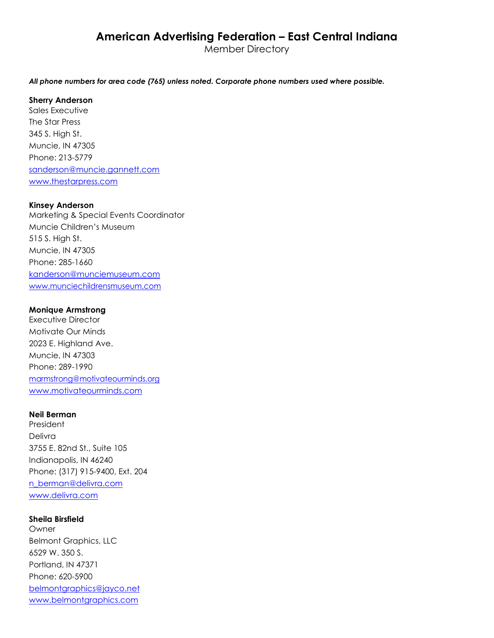# American Advertising Federation – East Central Indiana

Member Directory

#### All phone numbers for area code (765) unless noted. Corporate phone numbers used where possible.

#### Sherry Anderson

Sales Executive The Star Press 345 S. High St. Muncie, IN 47305 Phone: 213-5779 sanderson@muncie.gannett.com www.thestarpress.com

#### Kinsey Anderson

Marketing & Special Events Coordinator Muncie Children's Museum 515 S. High St. Muncie, IN 47305 Phone: 285-1660 kanderson@munciemuseum.com www.munciechildrensmuseum.com

### Monique Armstrong

Executive Director Motivate Our Minds 2023 E. Highland Ave. Muncie, IN 47303 Phone: 289-1990 marmstrong@motivateourminds.org www.motivateourminds.com

#### Neil Berman

President Delivra 3755 E. 82nd St., Suite 105 Indianapolis, IN 46240 Phone: (317) 915-9400, Ext. 204 n\_berman@delivra.com www.delivra.com

### Sheila Birsfield

Owner Belmont Graphics, LLC 6529 W. 350 S. Portland, IN 47371 Phone: 620-5900 belmontgraphics@jayco.net www.belmontgraphics.com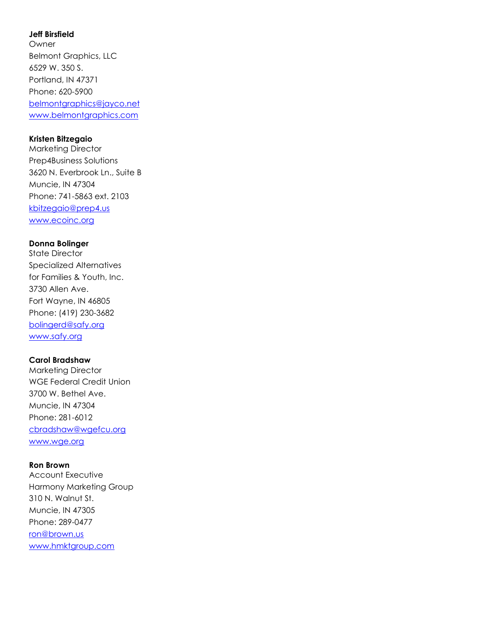### Jeff Birsfield

Owner Belmont Graphics, LLC 6529 W. 350 S. Portland, IN 47371 Phone: 620-5900 belmontgraphics@jayco.net www.belmontgraphics.com

## Kristen Bitzegaio

Marketing Director Prep4Business Solutions 3620 N. Everbrook Ln., Suite B Muncie, IN 47304 Phone: 741-5863 ext. 2103 kbitzegaio@prep4.us www.ecoinc.org

## Donna Bolinger

State Director Specialized Alternatives for Families & Youth, Inc. 3730 Allen Ave. Fort Wayne, IN 46805 Phone: (419) 230-3682 bolingerd@safy.org www.safy.org

### Carol Bradshaw

Marketing Director WGE Federal Credit Union 3700 W. Bethel Ave. Muncie, IN 47304 Phone: 281-6012 cbradshaw@wgefcu.org www.wge.org

## Ron Brown

Account Executive Harmony Marketing Group 310 N. Walnut St. Muncie, IN 47305 Phone: 289-0477 ron@brown.us www.hmktgroup.com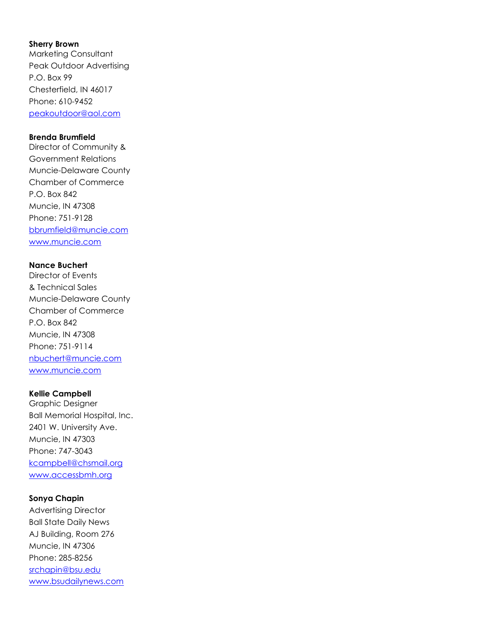#### Sherry Brown

Marketing Consultant Peak Outdoor Advertising P.O. Box 99 Chesterfield, IN 46017 Phone: 610-9452 peakoutdoor@aol.com

#### Brenda Brumfield

Director of Community & Government Relations Muncie-Delaware County Chamber of Commerce P.O. Box 842 Muncie, IN 47308 Phone: 751-9128 bbrumfield@muncie.com www.muncie.com

## Nance Buchert

Director of Events & Technical Sales Muncie-Delaware County Chamber of Commerce P.O. Box 842 Muncie, IN 47308 Phone: 751-9114 nbuchert@muncie.com www.muncie.com

### Kellie Campbell

Graphic Designer Ball Memorial Hospital, Inc. 2401 W. University Ave. Muncie, IN 47303 Phone: 747-3043 kcampbell@chsmail.org www.accessbmh.org

### Sonya Chapin

Advertising Director Ball State Daily News AJ Building, Room 276 Muncie, IN 47306 Phone: 285-8256 srchapin@bsu.edu www.bsudailynews.com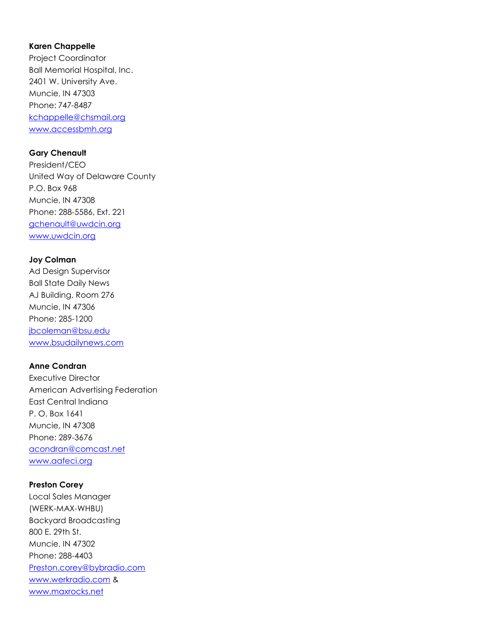### Karen Chappelle

Project Coordinator Ball Memorial Hospital, Inc. 2401 W. University Ave. Muncie, IN 47303 Phone: 747-8487 kchappelle@chsmail.org www.accessbmh.org

## Gary Chenault

President/CEO United Way of Delaware County P.O. Box 968 Muncie, IN 47308 Phone: 288-5586, Ext. 221 gchenault@uwdcin.org www.uwdcin.org

## Joy Colman

Ad Design Supervisor Ball State Daily News AJ Building, Room 276 Muncie, IN 47306 Phone: 285-1200 jbcoleman@bsu.edu www.bsudailynews.com

## Anne Condran

Executive Director American Advertising Federation East Central Indiana P. O. Box 1641 Muncie, IN 47308 Phone: 289-3676 acondran@comcast.net www.aafeci.org

## Preston Corey

Local Sales Manager (WERK-MAX-WHBU) Backyard Broadcasting 800 E. 29th St. Muncie, IN 47302 Phone: 288-4403 Preston.corey@bybradio.com www.werkradio.com & www.maxrocks.net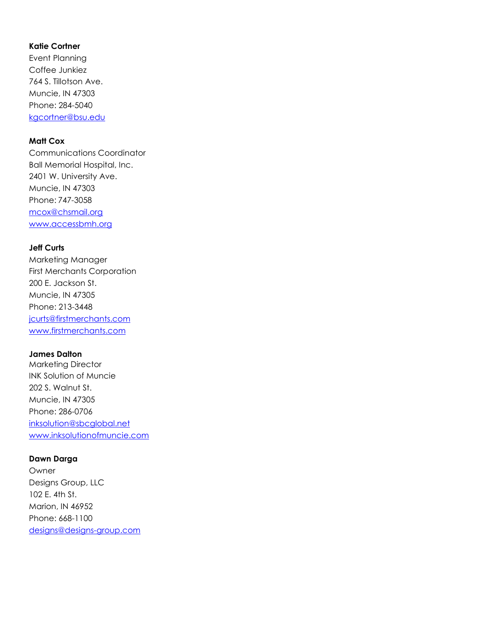## Katie Cortner

Event Planning Coffee Junkiez 764 S. Tillotson Ave. Muncie, IN 47303 Phone: 284-5040 kgcortner@bsu.edu

## Matt Cox

Communications Coordinator Ball Memorial Hospital, Inc. 2401 W. University Ave. Muncie, IN 47303 Phone: 747-3058 mcox@chsmail.org www.accessbmh.org

## Jeff Curts

Marketing Manager First Merchants Corporation 200 E. Jackson St. Muncie, IN 47305 Phone: 213-3448 jcurts@firstmerchants.com www.firstmerchants.com

## James Dalton

Marketing Director INK Solution of Muncie 202 S. Walnut St. Muncie, IN 47305 Phone: 286-0706 inksolution@sbcglobal.net www.inksolutionofmuncie.com

### Dawn Darga

Owner Designs Group, LLC 102 E. 4th St. Marion, IN 46952 Phone: 668-1100 designs@designs-group.com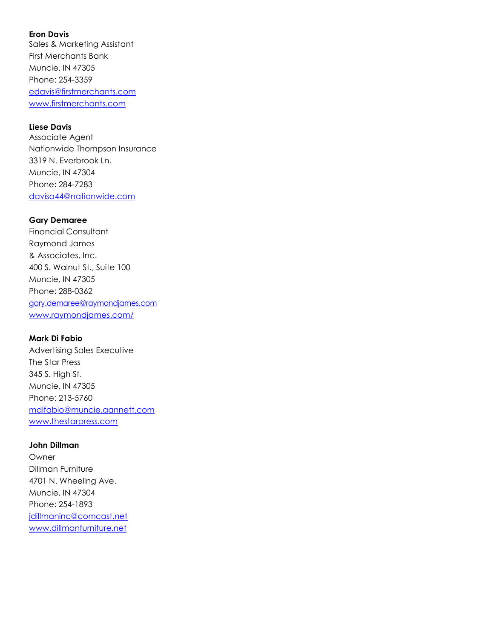### Eron Davis

Sales & Marketing Assistant First Merchants Bank Muncie, IN 47305 Phone: 254-3359 edavis@firstmerchants.com www.firstmerchants.com

### Liese Davis

Associate Agent Nationwide Thompson Insurance 3319 N. Everbrook Ln. Muncie, IN 47304 Phone: 284-7283 davisa44@nationwide.com

## Gary Demaree

Financial Consultant Raymond James & Associates, Inc. 400 S. Walnut St., Suite 100 Muncie, IN 47305 Phone: 288-0362 gary.demaree@raymondjames.com www.raymondjames.com/

## Mark Di Fabio

Advertising Sales Executive The Star Press 345 S. High St. Muncie, IN 47305 Phone: 213-5760 mdifabio@muncie.gannett.com www.thestarpress.com

## John Dillman

Owner Dillman Furniture 4701 N. Wheeling Ave. Muncie, IN 47304 Phone: 254-1893 jdillmaninc@comcast.net www.dillmanfurniture.net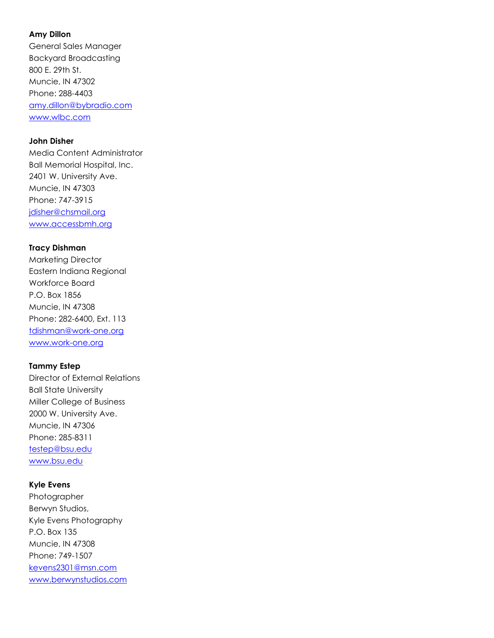### Amy Dillon

General Sales Manager Backyard Broadcasting 800 E. 29th St. Muncie, IN 47302 Phone: 288-4403 amy.dillon@bybradio.com www.wlbc.com

### John Disher

Media Content Administrator Ball Memorial Hospital, Inc. 2401 W. University Ave. Muncie, IN 47303 Phone: 747-3915 jdisher@chsmail.org www.accessbmh.org

## Tracy Dishman

Marketing Director Eastern Indiana Regional Workforce Board P.O. Box 1856 Muncie, IN 47308 Phone: 282-6400, Ext. 113 tdishman@work-one.org www.work-one.org

## Tammy Estep

Director of External Relations Ball State University Miller College of Business 2000 W. University Ave. Muncie, IN 47306 Phone: 285-8311 testep@bsu.edu www.bsu.edu

## Kyle Evens

Photographer Berwyn Studios, Kyle Evens Photography P.O. Box 135 Muncie, IN 47308 Phone: 749-1507 kevens2301@msn.com www.berwynstudios.com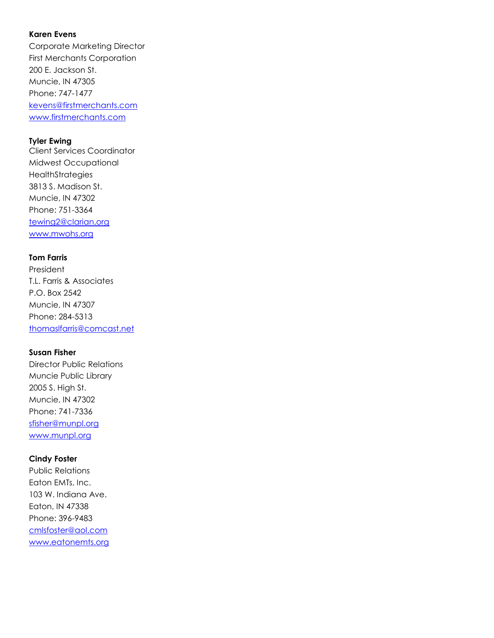## Karen Evens

Corporate Marketing Director First Merchants Corporation 200 E. Jackson St. Muncie, IN 47305 Phone: 747-1477 kevens@firstmerchants.com www.firstmerchants.com

## Tyler Ewing

Client Services Coordinator Midwest Occupational **HealthStrategies** 3813 S. Madison St. Muncie, IN 47302 Phone: 751-3364 tewing2@clarian.org www.mwohs.org

## Tom Farris

President T.L. Farris & Associates P.O. Box 2542 Muncie, IN 47307 Phone: 284-5313 thomaslfarris@comcast.net

## Susan Fisher

Director Public Relations Muncie Public Library 2005 S. High St. Muncie, IN 47302 Phone: 741-7336 sfisher@munpl.org www.munpl.org

## Cindy Foster

Public Relations Eaton EMTs, Inc. 103 W. Indiana Ave. Eaton, IN 47338 Phone: 396-9483 cmlsfoster@aol.com www.eatonemts.org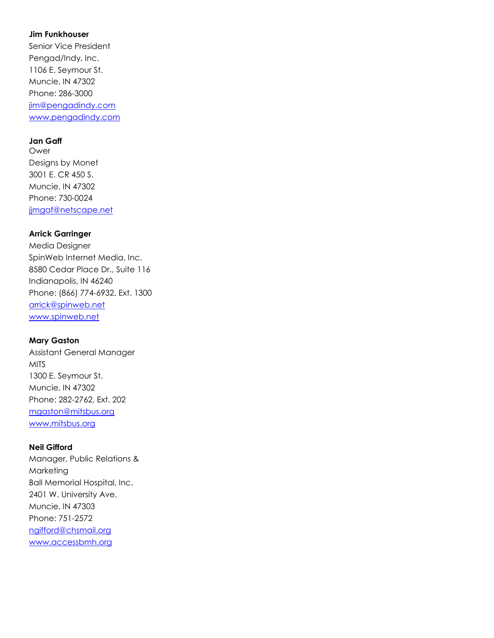### Jim Funkhouser

Senior Vice President Pengad/Indy, Inc. 1106 E. Seymour St. Muncie, IN 47302 Phone: 286-3000 jim@pengadindy.com www.pengadindy.com

## Jan Gaff

Ower Designs by Monet 3001 E. CR 450 S. Muncie, IN 47302 Phone: 730-0024 jjmgaf@netscape.net

## Arrick Garringer

Media Designer SpinWeb Internet Media, Inc. 8580 Cedar Place Dr., Suite 116 Indianapolis, IN 46240 Phone: (866) 774-6932, Ext. 1300 arrick@spinweb.net www.spinweb.net

### Mary Gaston

Assistant General Manager **MITS** 1300 E. Seymour St. Muncie, IN 47302 Phone: 282-2762, Ext. 202 mgaston@mitsbus.org www.mitsbus.org

### Neil Gifford

Manager, Public Relations & Marketing Ball Memorial Hospital, Inc. 2401 W. University Ave. Muncie, IN 47303 Phone: 751-2572 ngifford@chsmail.org www.accessbmh.org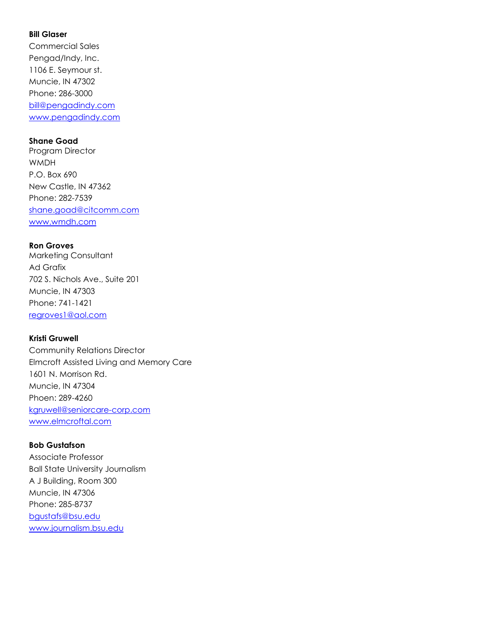### Bill Glaser

Commercial Sales Pengad/Indy, Inc. 1106 E. Seymour st. Muncie, IN 47302 Phone: 286-3000 bill@pengadindy.com www.pengadindy.com

## Shane Goad

Program Director WMDH P.O. Box 690 New Castle, IN 47362 Phone: 282-7539 shane.goad@citcomm.com www.wmdh.com

## Ron Groves

Marketing Consultant Ad Grafix 702 S. Nichols Ave., Suite 201 Muncie, IN 47303 Phone: 741-1421 regroves1@aol.com

## Kristi Gruwell

Community Relations Director Elmcroft Assisted Living and Memory Care 1601 N. Morrison Rd. Muncie, IN 47304 Phoen: 289-4260 kgruwell@seniorcare-corp.com www.elmcroftal.com

## Bob Gustafson

Associate Professor Ball State University Journalism A J Building, Room 300 Muncie, IN 47306 Phone: 285-8737 bgustafs@bsu.edu www.journalism.bsu.edu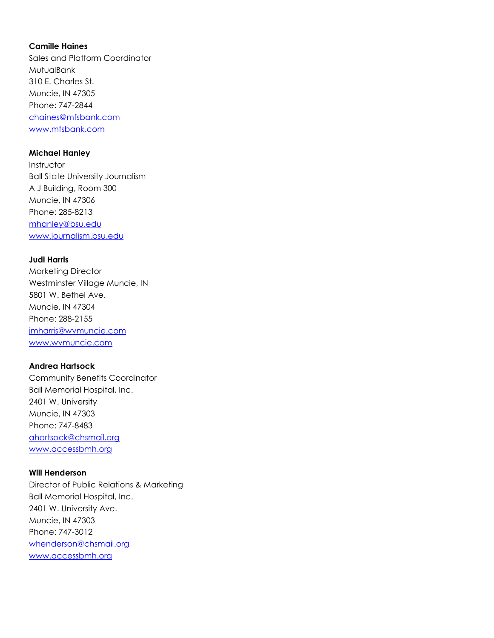## Camille Haines

Sales and Platform Coordinator MutualBank 310 E. Charles St. Muncie, IN 47305 Phone: 747-2844 chaines@mfsbank.com www.mfsbank.com

### Michael Hanley

Instructor Ball State University Journalism A J Building, Room 300 Muncie, IN 47306 Phone: 285-8213 mhanley@bsu.edu www.journalism.bsu.edu

## Judi Harris

Marketing Director Westminster Village Muncie, IN 5801 W. Bethel Ave. Muncie, IN 47304 Phone: 288-2155 jmharris@wvmuncie.com www.wvmuncie.com

### Andrea Hartsock

Community Benefits Coordinator Ball Memorial Hospital, Inc. 2401 W. University Muncie, IN 47303 Phone: 747-8483 ahartsock@chsmail.org www.accessbmh.org

### Will Henderson

Director of Public Relations & Marketing Ball Memorial Hospital, Inc. 2401 W. University Ave. Muncie, IN 47303 Phone: 747-3012 whenderson@chsmail.org www.accessbmh.org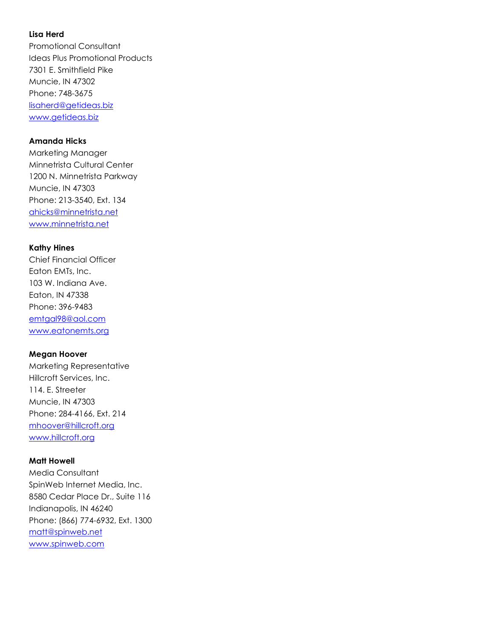## Lisa Herd

Promotional Consultant Ideas Plus Promotional Products 7301 E. Smithfield Pike Muncie, IN 47302 Phone: 748-3675 lisaherd@getideas.biz www.getideas.biz

## Amanda Hicks

Marketing Manager Minnetrista Cultural Center 1200 N. Minnetrista Parkway Muncie, IN 47303 Phone: 213-3540, Ext. 134 ahicks@minnetrista.net www.minnetrista.net

## Kathy Hines

Chief Financial Officer Eaton EMTs, Inc. 103 W. Indiana Ave. Eaton, IN 47338 Phone: 396-9483 emtgal98@aol.com www.eatonemts.org

## Megan Hoover

Marketing Representative Hillcroft Services, Inc. 114. E. Streeter Muncie, IN 47303 Phone: 284-4166, Ext. 214 mhoover@hillcroft.org www.hillcroft.org

## Matt Howell

Media Consultant SpinWeb Internet Media, Inc. 8580 Cedar Place Dr., Suite 116 Indianapolis, IN 46240 Phone: (866) 774-6932, Ext. 1300 matt@spinweb.net www.spinweb.com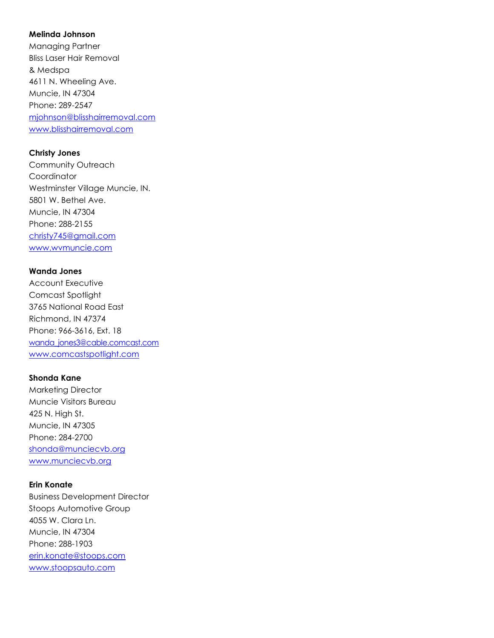#### Melinda Johnson

Managing Partner Bliss Laser Hair Removal & Medspa 4611 N. Wheeling Ave. Muncie, IN 47304 Phone: 289-2547 mjohnson@blisshairremoval.com www.blisshairremoval.com

#### Christy Jones

Community Outreach Coordinator Westminster Village Muncie, IN. 5801 W. Bethel Ave. Muncie, IN 47304 Phone: 288-2155 christy745@gmail.com www.wvmuncie.com

## Wanda Jones

Account Executive Comcast Spotlight 3765 National Road East Richmond, IN 47374 Phone: 966-3616, Ext. 18 wanda\_jones3@cable.comcast.com www.comcastspotlight.com

#### Shonda Kane

Marketing Director Muncie Visitors Bureau 425 N. High St. Muncie, IN 47305 Phone: 284-2700 shonda@munciecvb.org www.munciecvb.org

### Erin Konate

Business Development Director Stoops Automotive Group 4055 W. Clara Ln. Muncie, IN 47304 Phone: 288-1903 erin.konate@stoops.com www.stoopsauto.com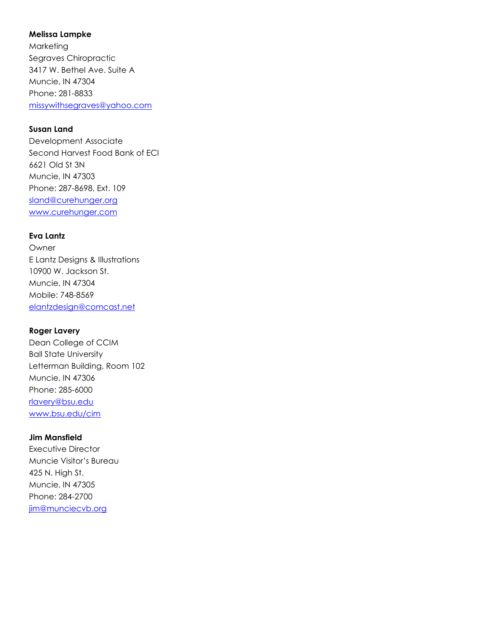### Melissa Lampke

Marketing Segraves Chiropractic 3417 W. Bethel Ave. Suite A Muncie, IN 47304 Phone: 281-8833 missywithsegraves@yahoo.com

## Susan Land

Development Associate Second Harvest Food Bank of ECI 6621 Old St 3N Muncie, IN 47303 Phone: 287-8698, Ext. 109 sland@curehunger.org www.curehunger.com

## Eva Lantz

Owner E Lantz Designs & Illustrations 10900 W. Jackson St. Muncie, IN 47304 Mobile: 748-8569 elantzdesign@comcast.net

## Roger Lavery

Dean College of CCIM Ball State University Letterman Building, Room 102 Muncie, IN 47306 Phone: 285-6000 rlavery@bsu.edu www.bsu.edu/cim

## Jim Mansfield

Executive Director Muncie Visitor's Bureau 425 N. High St. Muncie, IN 47305 Phone: 284-2700 jim@munciecvb.org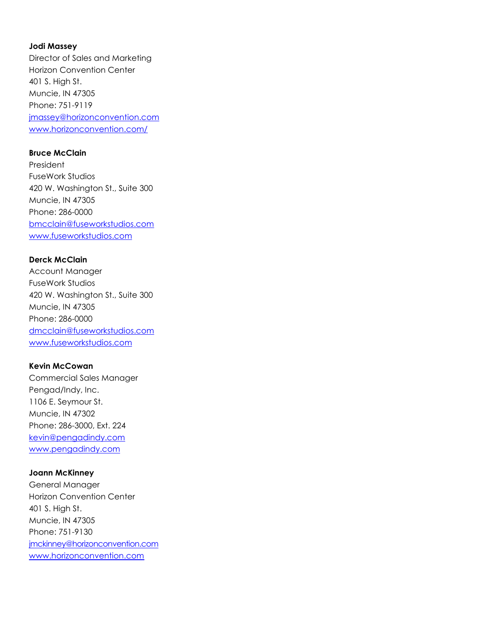#### Jodi Massey

Director of Sales and Marketing Horizon Convention Center 401 S. High St. Muncie, IN 47305 Phone: 751-9119 jmassey@horizonconvention.com www.horizonconvention.com/

## Bruce McClain

President FuseWork Studios 420 W. Washington St., Suite 300 Muncie, IN 47305 Phone: 286-0000 bmcclain@fuseworkstudios.com www.fuseworkstudios.com

## Derck McClain

Account Manager FuseWork Studios 420 W. Washington St., Suite 300 Muncie, IN 47305 Phone: 286-0000 dmcclain@fuseworkstudios.com www.fuseworkstudios.com

### Kevin McCowan

Commercial Sales Manager Pengad/Indy, Inc. 1106 E. Seymour St. Muncie, IN 47302 Phone: 286-3000, Ext. 224 kevin@pengadindy.com www.pengadindy.com

### Joann McKinney

General Manager Horizon Convention Center 401 S. High St. Muncie, IN 47305 Phone: 751-9130 jmckinney@horizonconvention.com www.horizonconvention.com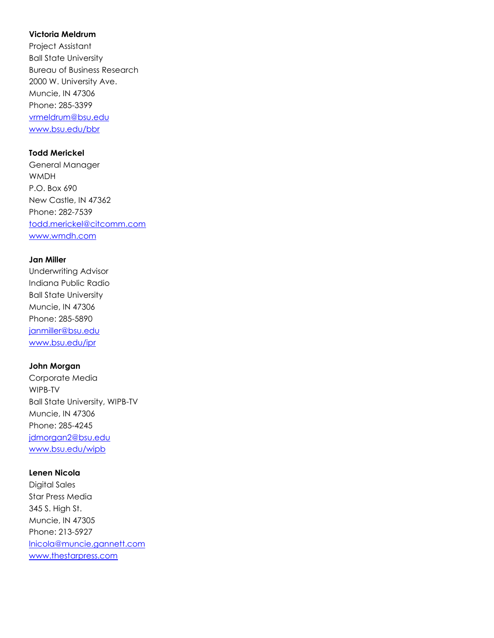### Victoria Meldrum

Project Assistant Ball State University Bureau of Business Research 2000 W. University Ave. Muncie, IN 47306 Phone: 285-3399 vrmeldrum@bsu.edu www.bsu.edu/bbr

## Todd Merickel

General Manager WMDH P.O. Box 690 New Castle, IN 47362 Phone: 282-7539 todd.merickel@citcomm.com www.wmdh.com

### Jan Miller

Underwriting Advisor Indiana Public Radio Ball State University Muncie, IN 47306 Phone: 285-5890 janmiller@bsu.edu www.bsu.edu/ipr

### John Morgan

Corporate Media WIPB-TV Ball State University, WIPB-TV Muncie, IN 47306 Phone: 285-4245 jdmorgan2@bsu.edu www.bsu.edu/wipb

## Lenen Nicola

Digital Sales Star Press Media 345 S. High St. Muncie, IN 47305 Phone: 213-5927 lnicola@muncie.gannett.com www.thestarpress.com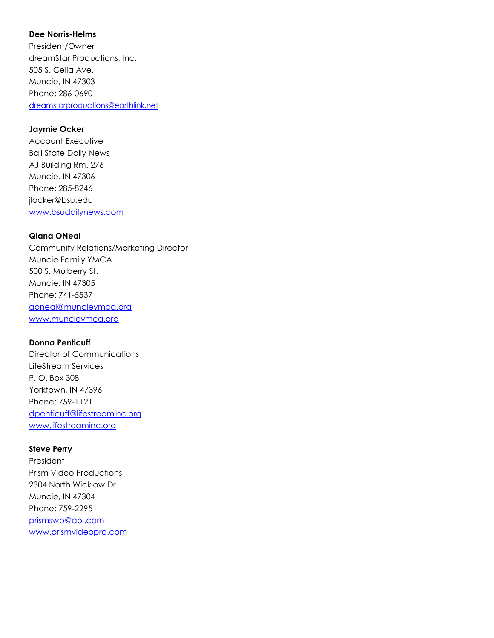## Dee Norris-Helms

President/Owner dreamStar Productions, Inc. 505 S. Celia Ave. Muncie, IN 47303 Phone: 286-0690 dreamstarproductions@earthlink.net

## Jaymie Ocker

Account Executive Ball State Daily News AJ Building Rm. 276 Muncie, IN 47306 Phone: 285-8246 jlocker@bsu.edu www.bsudailynews.com

## Qiana ONeal

Community Relations/Marketing Director Muncie Family YMCA 500 S. Mulberry St. Muncie, IN 47305 Phone: 741-5537 qoneal@muncieymca.org www.muncieymca.org

### Donna Penticuff

Director of Communications LifeStream Services P. O. Box 308 Yorktown, IN 47396 Phone: 759-1121 dpenticuff@lifestreaminc.org www.lifestreaminc.org

### Steve Perry

President Prism Video Productions 2304 North Wicklow Dr. Muncie, IN 47304 Phone: 759-2295 prismswp@aol.com www.prismvideopro.com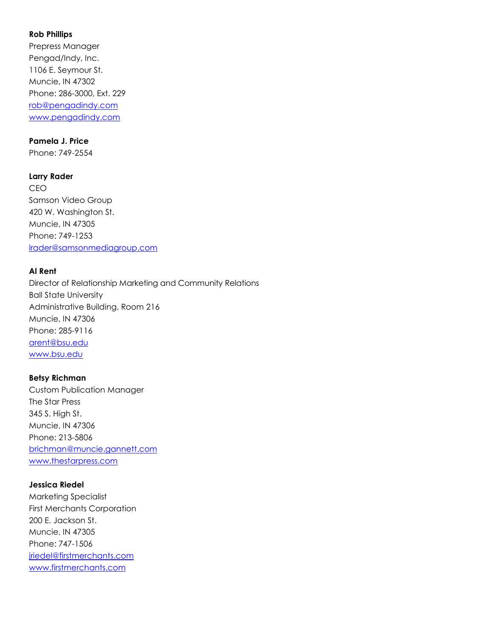### Rob Phillips

Prepress Manager Pengad/Indy, Inc. 1106 E. Seymour St. Muncie, IN 47302 Phone: 286-3000, Ext. 229 rob@pengadindy.com www.pengadindy.com

## Pamela J. Price

Phone: 749-2554

## Larry Rader

CEO Samson Video Group 420 W. Washington St. Muncie, IN 47305 Phone: 749-1253 lrader@samsonmediagroup.com

## Al Rent

Director of Relationship Marketing and Community Relations Ball State University Administrative Building, Room 216 Muncie, IN 47306 Phone: 285-9116 arent@bsu.edu www.bsu.edu

### Betsy Richman

Custom Publication Manager The Star Press 345 S. High St. Muncie, IN 47306 Phone: 213-5806 brichman@muncie.gannett.com www.thestarpress.com

### Jessica Riedel

Marketing Specialist First Merchants Corporation 200 E. Jackson St. Muncie, IN 47305 Phone: 747-1506 jriedel@firstmerchants.com www.firstmerchants.com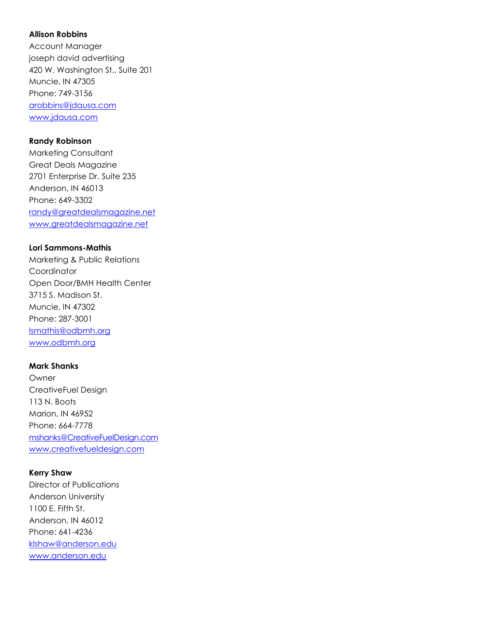### Allison Robbins

Account Manager joseph david advertising 420 W. Washington St., Suite 201 Muncie, IN 47305 Phone: 749-3156 arobbins@jdausa.com www.jdausa.com

## Randy Robinson

Marketing Consultant Great Deals Magazine 2701 Enterprise Dr. Suite 235 Anderson, IN 46013 Phone: 649-3302 randy@greatdealsmagazine.net www.greatdealsmagazine.net

## Lori Sammons-Mathis

Marketing & Public Relations **Coordinator** Open Door/BMH Health Center 3715 S. Madison St. Muncie, IN 47302 Phone: 287-3001 lsmathis@odbmh.org www.odbmh.org

### Mark Shanks

Owner CreativeFuel Design 113 N. Boots Marion, IN 46952 Phone: 664-7778 mshanks@CreativeFuelDesign.com www.creativefueldesign.com

### Kerry Shaw

Director of Publications Anderson University 1100 E. Fifth St. Anderson, IN 46012 Phone: 641-4236 klshaw@anderson.edu www.anderson.edu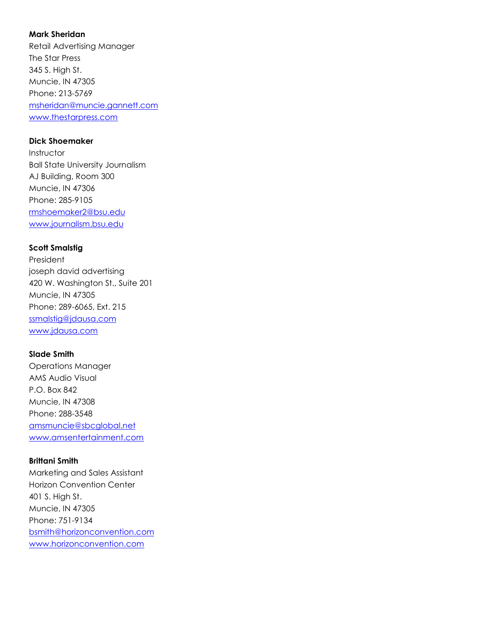## Mark Sheridan

Retail Advertising Manager The Star Press 345 S. High St. Muncie, IN 47305 Phone: 213-5769 msheridan@muncie.gannett.com www.thestarpress.com

## Dick Shoemaker

Instructor Ball State University Journalism AJ Building, Room 300 Muncie, IN 47306 Phone: 285-9105 rmshoemaker2@bsu.edu www.journalism.bsu.edu

## Scott Smalstig

President joseph david advertising 420 W. Washington St., Suite 201 Muncie, IN 47305 Phone: 289-6065, Ext. 215 ssmalstig@jdausa.com www.jdausa.com

## Slade Smith

Operations Manager AMS Audio Visual P.O. Box 842 Muncie, IN 47308 Phone: 288-3548 amsmuncie@sbcglobal.net www.amsentertainment.com

## Brittani Smith

Marketing and Sales Assistant Horizon Convention Center 401 S. High St. Muncie, IN 47305 Phone: 751-9134 bsmith@horizonconvention.com www.horizonconvention.com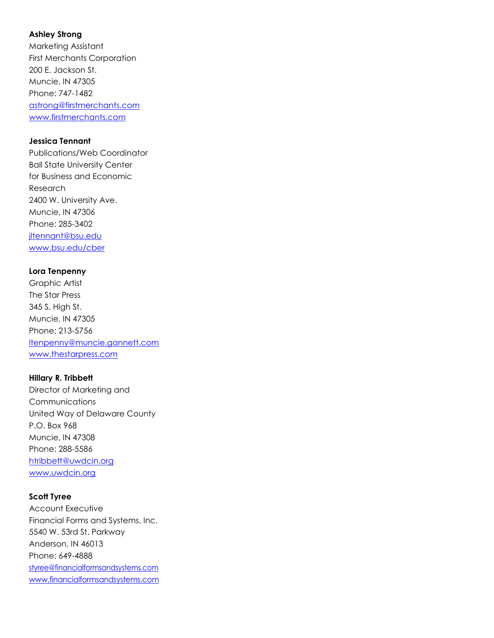### Ashley Strong

Marketing Assistant First Merchants Corporation 200 E. Jackson St. Muncie, IN 47305 Phone: 747-1482 astrong@firstmerchants.com www.firstmerchants.com

## Jessica Tennant

Publications/Web Coordinator Ball State University Center for Business and Economic Research 2400 W. University Ave. Muncie, IN 47306 Phone: 285-3402 jltennant@bsu.edu www.bsu.edu/cber

## Lora Tenpenny

Graphic Artist The Star Press 345 S. High St. Muncie, IN 47305 Phone: 213-5756 ltenpenny@muncie.gannett.com www.thestarpress.com

## Hillary R. Tribbett

Director of Marketing and **Communications** United Way of Delaware County P.O. Box 968 Muncie, IN 47308 Phone: 288-5586 htribbett@uwdcin.org www.uwdcin.org

## Scott Tyree

Account Executive Financial Forms and Systems, Inc. 5540 W. 53rd St. Parkway Anderson, IN 46013 Phone: 649-4888 styree@financialformsandsystems.com www.financialformsandsystems.com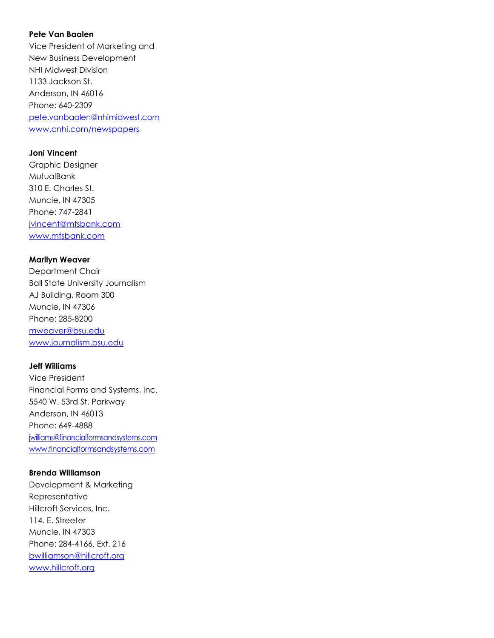#### Pete Van Baalen

Vice President of Marketing and New Business Development NHI Midwest Division 1133 Jackson St. Anderson, IN 46016 Phone: 640-2309 pete.vanbaalen@nhimidwest.com www.cnhi.com/newspapers

### Joni Vincent

Graphic Designer MutualBank 310 E. Charles St. Muncie, IN 47305 Phone: 747-2841 jvincent@mfsbank.com www.mfsbank.com

### Marilyn Weaver

Department Chair Ball State University Journalism AJ Building, Room 300 Muncie, IN 47306 Phone: 285-8200 mweaver@bsu.edu www.journalism.bsu.edu

### Jeff Williams

Vice President Financial Forms and Systems, Inc. 5540 W. 53rd St. Parkway Anderson, IN 46013 Phone: 649-4888 jwilliams@financialformsandsystems.com www.financialformsandsystems.com

### Brenda Williamson

Development & Marketing Representative Hillcroft Services, Inc. 114. E. Streeter Muncie, IN 47303 Phone: 284-4166, Ext. 216 bwilliamson@hillcroft.org www.hillcroft.org